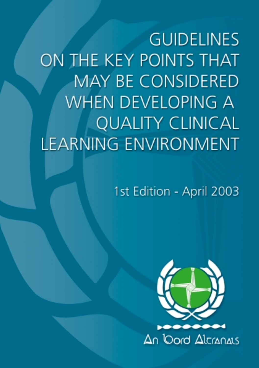**GUIDELINES** ON THE KEY POINTS THAT **MAY BE CONSIDERED WHEN DEVELOPING A QUALITY CLINICAL LEARNING ENVIRONMENT** 

1st Edition - April 2003

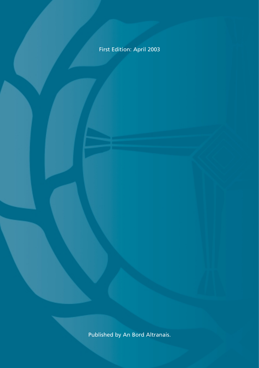First Edition: April 2003

Published by An Bord Altranais.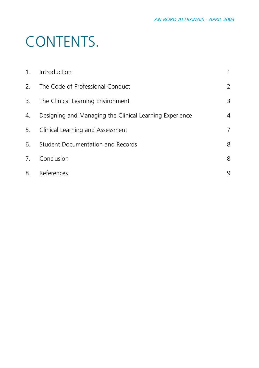# CONTENTS.

| $1_{\ldots}$   | Introduction                                            | 1 |
|----------------|---------------------------------------------------------|---|
| 2 <sup>1</sup> | The Code of Professional Conduct                        | 2 |
|                | 3. The Clinical Learning Environment                    | 3 |
| 4.             | Designing and Managing the Clinical Learning Experience | 4 |
| 5.             | Clinical Learning and Assessment                        | 7 |
|                | 6. Student Documentation and Records                    | 8 |
| 7.             | Conclusion                                              | 8 |
| 8.             | References                                              | 9 |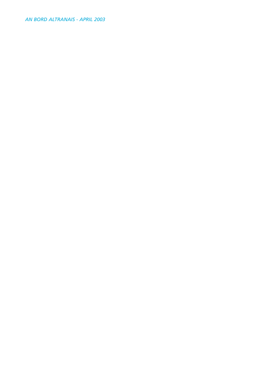*AN BORD ALTRANAIS - APRIL 2003*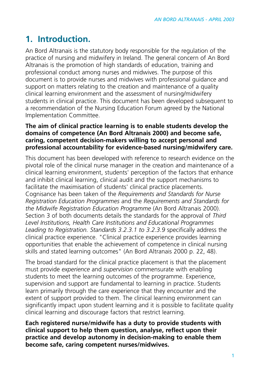# **1. Introduction.**

An Bord Altranais is the statutory body responsible for the regulation of the practice of nursing and midwifery in Ireland. The general concern of An Bord Altranais is the promotion of high standards of education, training and professional conduct among nurses and midwives. The purpose of this document is to provide nurses and midwives with professional guidance and support on matters relating to the creation and maintenance of a quality clinical learning environment and the assessment of nursing/midwifery students in clinical practice. This document has been developed subsequent to a recommendation of the Nursing Education Forum agreed by the National Implementation Committee.

#### **The aim of clinical practice learning is to enable students develop the domains of competence (An Bord Altranais 2000) and become safe, caring, competent decision-makers willing to accept personal and professional accountability for evidence-based nursing/midwifery care.**

This document has been developed with reference to research evidence on the pivotal role of the clinical nurse manager in the creation and maintenance of a clinical learning environment, students' perception of the factors that enhance and inhibit clinical learning, clinical audit and the support mechanisms to facilitate the maximisation of students' clinical practice placements. Cognisance has been taken of the *Requirements and Standards for Nurse Registration Education Programmes* and the *Requirements and Standards for the Midwife Registration Education Programme* (An Bord Altranais 2000). Section 3 of both documents details the standards for the approval of *Third Level Institutions, Health Care Institutions and Educational Programmes Leading to Registration. Standards 3.2.3.1 to 3.2.3.9* specifically address the clinical practice experience. "Clinical practice experience provides learning opportunities that enable the achievement of competence in clinical nursing skills and stated learning outcomes" (An Bord Altranais 2000 p. 22, 48).

The broad standard for the clinical practice placement is that the placement must provide *experience* and *supervision* commensurate with enabling students to meet the learning outcomes of the programme. Experience, supervision and support are fundamental to learning in practice. Students learn primarily through the care experience that they encounter and the extent of support provided to them. The clinical learning environment can significantly impact upon student learning and it is possible to facilitate quality clinical learning and discourage factors that restrict learning.

**Each registered nurse/midwife has a duty to provide students with clinical support to help them question, analyse, reflect upon their practice and develop autonomy in decision-making to enable them become safe, caring competent nurses/midwives.**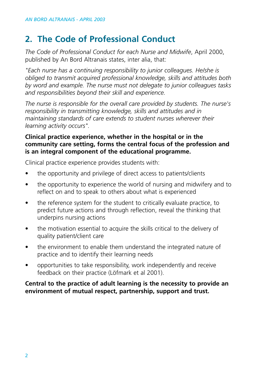### **2. The Code of Professional Conduct**

*The Code of Professional Conduct for each Nurse and Midwife*, April 2000, published by An Bord Altranais states, inter alia, that:

*"Each nurse has a continuing responsibility to junior colleagues. He/she is obliged to transmit acquired professional knowledge, skills and attitudes both by word and example. The nurse must not delegate to junior colleagues tasks and responsibilities beyond their skill and experience.*

*The nurse is responsible for the overall care provided by students. The nurse's responsibility in transmitting knowledge, skills and attitudes and in maintaining standards of care extends to student nurses wherever their learning activity occurs".*

#### **Clinical practice experience, whether in the hospital or in the community care setting, forms the central focus of the profession and is an integral component of the educational programme.**

Clinical practice experience provides students with:

- the opportunity and privilege of direct access to patients/clients
- the opportunity to experience the world of nursing and midwifery and to reflect on and to speak to others about what is experienced
- the reference system for the student to critically evaluate practice, to predict future actions and through reflection, reveal the thinking that underpins nursing actions
- the motivation essential to acquire the skills critical to the delivery of quality patient/client care
- the environment to enable them understand the integrated nature of practice and to identify their learning needs
- opportunities to take responsibility, work independently and receive feedback on their practice (Löfmark et al 2001).

#### **Central to the practice of adult learning is the necessity to provide an environment of mutual respect, partnership, support and trust.**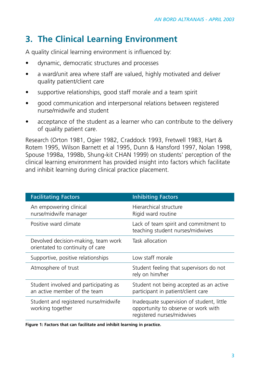# **3. The Clinical Learning Environment**

A quality clinical learning environment is influenced by:

- dynamic, democratic structures and processes
- a ward/unit area where staff are valued, highly motivated and deliver quality patient/client care
- supportive relationships, good staff morale and a team spirit
- good communication and interpersonal relations between registered nurse/midwife and student
- acceptance of the student as a learner who can contribute to the delivery of quality patient care.

Research (Orton 1981, Ogier 1982, Craddock 1993, Fretwell 1983, Hart & Rotem 1995, Wilson Barnett et al 1995, Dunn & Hansford 1997, Nolan 1998, Spouse 1998a, 1998b, Shung-kit CHAN 1999) on students' perception of the clinical learning environment has provided insight into factors which facilitate and inhibit learning during clinical practice placement.

| <b>Facilitating Factors</b>                                             | <b>Inhibiting Factors</b>                                                                                      |
|-------------------------------------------------------------------------|----------------------------------------------------------------------------------------------------------------|
| An empowering clinical<br>nurse/midwife manager                         | Hierarchical structure<br>Rigid ward routine                                                                   |
| Positive ward climate                                                   | Lack of team spirit and commitment to<br>teaching student nurses/midwives                                      |
| Devolved decision-making, team work<br>orientated to continuity of care | Task allocation                                                                                                |
| Supportive, positive relationships                                      | Low staff morale                                                                                               |
| Atmosphere of trust                                                     | Student feeling that supervisors do not<br>rely on him/her                                                     |
| Student involved and participating as<br>an active member of the team   | Student not being accepted as an active<br>participant in patient/client care                                  |
| Student and registered nurse/midwife<br>working together                | Inadequate supervision of student, little<br>opportunity to observe or work with<br>registered nurses/midwives |

**Figure 1: Factors that can facilitate and inhibit learning in practice.**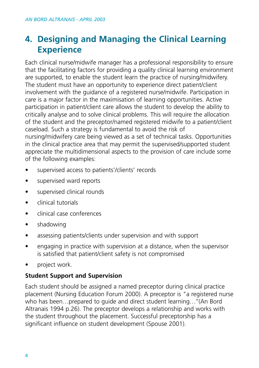# **4. Designing and Managing the Clinical Learning Experience**

Each clinical nurse/midwife manager has a professional responsibility to ensure that the facilitating factors for providing a quality clinical learning environment are supported, to enable the student learn the practice of nursing/midwifery. The student must have an opportunity to experience direct patient/client involvement with the guidance of a registered nurse/midwife. Participation in care is a major factor in the maximisation of learning opportunities. Active participation in patient/client care allows the student to develop the ability to critically analyse and to solve clinical problems. This will require the allocation of the student and the preceptor/named registered midwife to a patient/client caseload. Such a strategy is fundamental to avoid the risk of nursing/midwifery care being viewed as a set of technical tasks. Opportunities in the clinical practice area that may permit the supervised/supported student appreciate the multidimensional aspects to the provision of care include some

of the following examples:

- supervised access to patients'/clients' records
- supervised ward reports
- supervised clinical rounds
- clinical tutorials
- clinical case conferences
- shadowing
- assessing patients/clients under supervision and with support
- engaging in practice with supervision at a distance, when the supervisor is satisfied that patient/client safety is not compromised
- project work.

#### **Student Support and Supervision**

Each student should be assigned a named preceptor during clinical practice placement (Nursing Education Forum 2000). A preceptor is "a registered nurse who has been…prepared to guide and direct student learning…''(An Bord Altranais 1994 p.26). The preceptor develops a relationship and works with the student throughout the placement. Successful preceptorship has a significant influence on student development (Spouse 2001).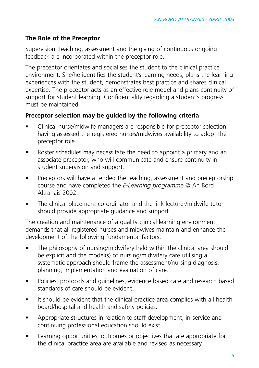#### **The Role of the Preceptor**

Supervision, teaching, assessment and the giving of continuous ongoing feedback are incorporated within the preceptor role.

The preceptor orientates and socialises the student to the clinical practice environment. She/he identifies the student's learning needs, plans the learning experiences with the student, demonstrates best practice and shares clinical expertise. The preceptor acts as an effective role model and plans continuity of support for student learning. Confidentiality regarding a student's progress must be maintained.

#### **Preceptor selection may be guided by the following criteria**

- Clinical nurse/midwife managers are responsible for preceptor selection having assessed the registered nurses/midwives availability to adopt the preceptor role.
- Roster schedules may necessitate the need to appoint a primary and an associate preceptor, who will communicate and ensure continuity in student supervision and support.
- Preceptors will have attended the teaching, assessment and preceptorship course and have completed the *E-Learning programme* © An Bord Altranais 2002.
- The clinical placement co-ordinator and the link lecturer/midwife tutor should provide appropriate guidance and support.

The creation and maintenance of a quality clinical learning environment demands that all registered nurses and midwives maintain and enhance the development of the following fundamental factors:

- The philosophy of nursing/midwifery held within the clinical area should be explicit and the model(s) of nursing/midwifery care utilising a systematic approach should frame the assessment/nursing diagnosis, planning, implementation and evaluation of care.
- Policies, protocols and guidelines, evidence based care and research based standards of care should be evident.
- It should be evident that the clinical practice area complies with all health board/hospital and health and safety policies.
- Appropriate structures in relation to staff development, in-service and continuing professional education should exist.
- Learning opportunities, outcomes or objectives that are appropriate for the clinical practice area are available and revised as necessary.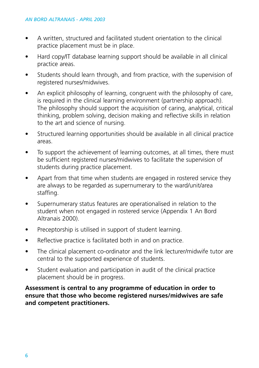- A written, structured and facilitated student orientation to the clinical practice placement must be in place.
- Hard copy/IT database learning support should be available in all clinical practice areas.
- Students should learn through, and from practice, with the supervision of registered nurses/midwives.
- An explicit philosophy of learning, congruent with the philosophy of care, is required in the clinical learning environment (partnership approach). The philosophy should support the acquisition of caring, analytical, critical thinking, problem solving, decision making and reflective skills in relation to the art and science of nursing.
- Structured learning opportunities should be available in all clinical practice areas.
- To support the achievement of learning outcomes, at all times, there must be sufficient registered nurses/midwives to facilitate the supervision of students during practice placement.
- Apart from that time when students are engaged in rostered service they are always to be regarded as supernumerary to the ward/unit/area staffing.
- Supernumerary status features are operationalised in relation to the student when not engaged in rostered service (Appendix 1 An Bord Altranais 2000).
- Preceptorship is utilised in support of student learning.
- Reflective practice is facilitated both in and on practice.
- The clinical placement co-ordinator and the link lecturer/midwife tutor are central to the supported experience of students.
- Student evaluation and participation in audit of the clinical practice placement should be in progress.

**Assessment is central to any programme of education in order to ensure that those who become registered nurses/midwives are safe and competent practitioners.**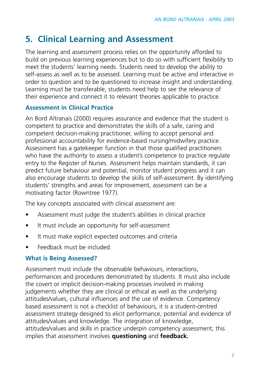### **5. Clinical Learning and Assessment**

The learning and assessment process relies on the opportunity afforded to build on previous learning experiences but to do so with sufficient flexibility to meet the students' learning needs. Students need to develop the ability to self-assess as well as to be assessed. Learning must be active and interactive in order to question and to be questioned to increase insight and understanding. Learning must be transferable, students need help to see the relevance of their experience and connect it to relevant theories applicable to practice.

#### **Assessment in Clinical Practice**

An Bord Altranais (2000) requires assurance and evidence that the student is competent to practice and demonstrates the skills of a safe, caring and competent decision-making practitioner, willing to accept personal and professional accountability for evidence-based nursing/midwifery practice. Assessment has a gatekeeper function in that those qualified practitioners who have the authority to assess a student's competence to practice regulate entry to the Register of Nurses. Assessment helps maintain standards, it can predict future behaviour and potential, monitor student progress and it can also encourage students to develop the skills of self-assessment. By identifying students' strengths and areas for improvement, assessment can be a motivating factor (Rowntree 1977).

The key concepts associated with clinical assessment are:

- Assessment must judge the student's abilities in clinical practice
- It must include an opportunity for self-assessment
- It must make explicit expected outcomes and criteria
- Feedback must be included.

#### **What is Being Assessed?**

Assessment must include the observable behaviours, interactions, performances and procedures demonstrated by students. It must also include the covert or implicit decision-making processes involved in making judgements whether they are clinical or ethical as well as the underlying attitudes/values, cultural influences and the use of evidence. Competency based assessment is not a checklist of behaviours, it is a student-centred assessment strategy designed to elicit performance, potential and evidence of attitudes/values and knowledge. The integration of knowledge, attitudes/values and skills in practice underpin competency assessment; this implies that assessment involves **questioning** and **feedback.**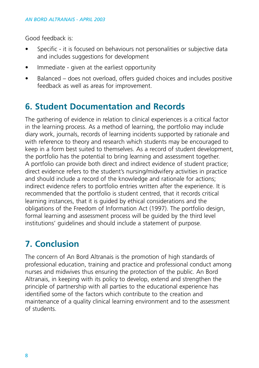Good feedback is:

- Specific it is focused on behaviours not personalities or subjective data and includes suggestions for development
- Immediate given at the earliest opportunity
- Balanced does not overload, offers guided choices and includes positive feedback as well as areas for improvement.

# **6. Student Documentation and Records**

The gathering of evidence in relation to clinical experiences is a critical factor in the learning process. As a method of learning, the portfolio may include diary work, journals, records of learning incidents supported by rationale and with reference to theory and research which students may be encouraged to keep in a form best suited to themselves. As a record of student development, the portfolio has the potential to bring learning and assessment together. A portfolio can provide both direct and indirect evidence of student practice; direct evidence refers to the student's nursing/midwifery activities in practice and should include a record of the knowledge and rationale for actions; indirect evidence refers to portfolio entries written after the experience. It is recommended that the portfolio is student centred, that it records critical learning instances, that it is guided by ethical considerations and the obligations of the Freedom of Information Act (1997). The portfolio design, formal learning and assessment process will be guided by the third level institutions' guidelines and should include a statement of purpose.

# **7. Conclusion**

The concern of An Bord Altranais is the promotion of high standards of professional education, training and practice and professional conduct among nurses and midwives thus ensuring the protection of the public. An Bord Altranais, in keeping with its policy to develop, extend and strengthen the principle of partnership with all parties to the educational experience has identified some of the factors which contribute to the creation and maintenance of a quality clinical learning environment and to the assessment of students.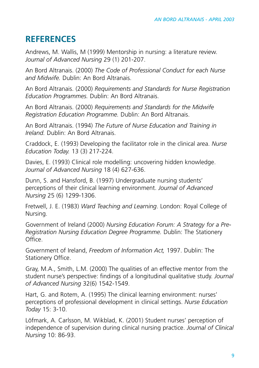# **REFERENCES**

Andrews, M. Wallis, M (1999) Mentorship in nursing: a literature review. *Journal of Advanced Nursing* 29 (1) 201-207.

An Bord Altranais. (2000) *The Code of Professional Conduct for each Nurse and Midwife.* Dublin: An Bord Altranais.

An Bord Altranais. (2000) *Requirements and Standards for Nurse Registration Education Programmes.* Dublin: An Bord Altranais.

An Bord Altranais. (2000) *Requirements and Standards for the Midwife Registration Education Programme.* Dublin: An Bord Altranais.

An Bord Altranais. (1994) *The Future of Nurse Education and Training in Ireland.* Dublin: An Bord Altranais.

Craddock, E. (1993) Developing the facilitator role in the clinical area. *Nurse Education Today.* 13 (3) 217-224.

Davies, E. (1993) Clinical role modelling: uncovering hidden knowledge. *Journal of Advanced Nursing* 18 (4) 627-636.

Dunn, S. and Hansford, B. (1997) Undergraduate nursing students' perceptions of their clinical learning environment. *Journal of Advanced Nursing* 25 (6) 1299-1306.

Fretwell, J. E. (1983) *Ward Teaching and Learning*. London: Royal College of Nursing.

Government of Ireland (2000) *Nursing Education Forum: A Strategy for a Pre-Registration Nursing Education Degree Programme.* Dublin: The Stationery Office.

Government of Ireland, *Freedom of Information Act,* 1997. Dublin: The Stationery Office.

Gray, M.A., Smith, L.M. (2000) The qualities of an effective mentor from the student nurse's perspective: findings of a longitudinal qualitative study. *Journal of Advanced Nursing* 32(6) 1542-1549.

Hart, G. and Rotem, A. (1995) The clinical learning environment: nurses' perceptions of professional development in clinical settings. *Nurse Education Today* 15: 3-10.

Löfmark, A. Carlsson, M. Wikblad, K. (2001) Student nurses' perception of independence of supervision during clinical nursing practice. *Journal of Clinical Nursing* 10: 86-93.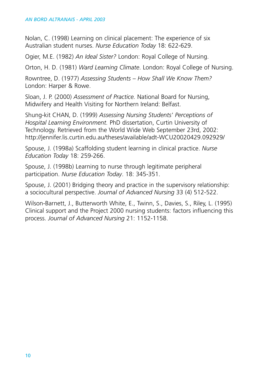#### *AN BORD ALTRANAIS - APRIL 2003*

Nolan, C. (1998) Learning on clinical placement: The experience of six Australian student nurses. *Nurse Education Today* 18: 622-629.

Ogier, M.E. (1982) *An Ideal Sister?* London: Royal College of Nursing.

Orton, H. D. (1981) *Ward Learning Climate*. London: Royal College of Nursing.

Rowntree, D. (1977) *Assessing Students – How Shall We Know Them?* London: Harper & Rowe.

Sloan, J. P. (2000) *Assessment of Practice.* National Board for Nursing, Midwifery and Health Visiting for Northern Ireland: Belfast.

Shung-kit CHAN, D. (1999) *Assessing Nursing Students' Perceptions of Hospital Learning Environment.* PhD dissertation, Curtin University of Technology. Retrieved from the World Wide Web September 23rd, 2002: http://jennifer.lis.curtin.edu.au/theses/available/adt-WCU20020429.092929/

Spouse, J. (1998a) Scaffolding student learning in clinical practice. *Nurse Education Today* 18: 259-266.

Spouse, J. (1998b) Learning to nurse through legitimate peripheral participation. *Nurse Education Today*. 18: 345-351.

Spouse, J. (2001) Bridging theory and practice in the supervisory relationship: a sociocultural perspective. *Journal of Advanced Nursing* 33 (4) 512-522.

Wilson-Barnett, J., Butterworth White, E., Twinn, S., Davies, S., Riley, L. (1995) Clinical support and the Project 2000 nursing students: factors influencing this process. *Journal of Advanced Nursing* 21: 1152-1158.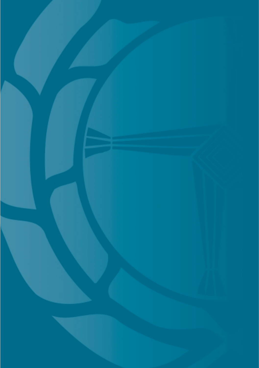